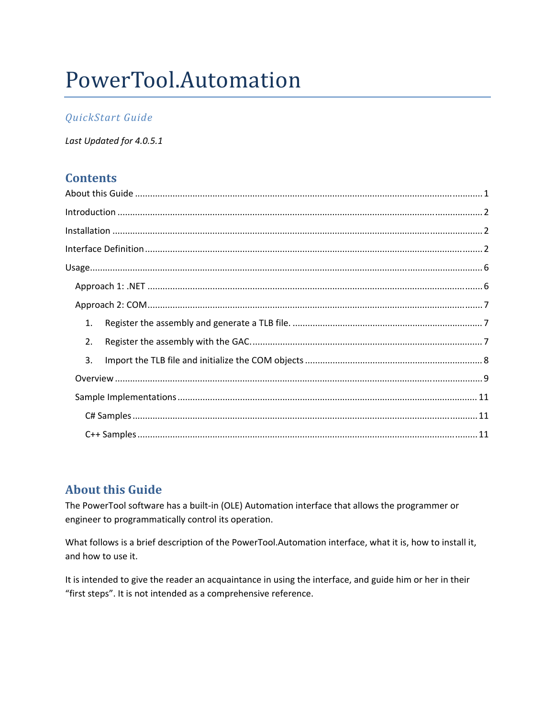# PowerTool.Automation

## QuickStart Guide

Last Updated for 4.0.5.1

## **Contents**

| 1. |  |  |
|----|--|--|
| 2. |  |  |
| 3. |  |  |
|    |  |  |
|    |  |  |
|    |  |  |
|    |  |  |

# **About this Guide**

The PowerTool software has a built-in (OLE) Automation interface that allows the programmer or engineer to programmatically control its operation.

What follows is a brief description of the PowerTool.Automation interface, what it is, how to install it, and how to use it.

It is intended to give the reader an acquaintance in using the interface, and guide him or her in their "first steps". It is not intended as a comprehensive reference.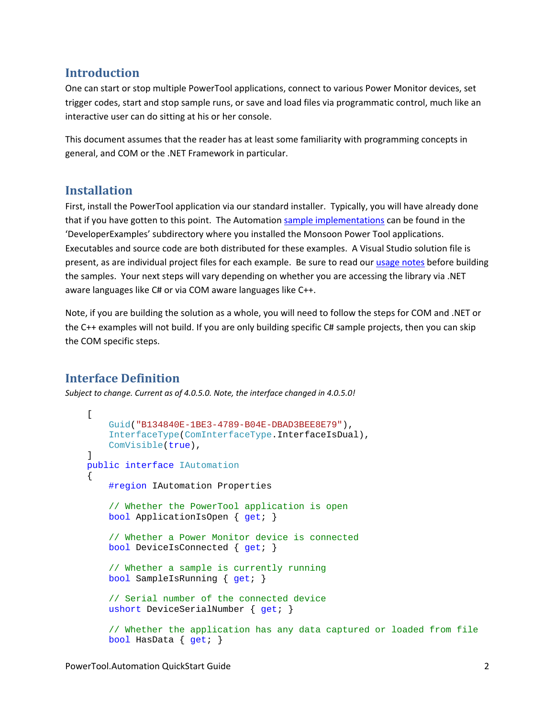## **Introduction**

One can start or stop multiple PowerTool applications, connect to various Power Monitor devices, set trigger codes, start and stop sample runs, or save and load files via programmatic control, much like an interactive user can do sitting at his or her console.

This document assumes that the reader has at least some familiarity with programming concepts in general, and COM or the .NET Framework in particular.

## **Installation**

First, install the PowerTool application via our standard installer. Typically, you will have already done that if you have gotten to this point. The Automation sample implementations can be found in the 'DeveloperExamples' subdirectory where you installed the Monsoon Power Tool applications. Executables and source code are both distributed for these examples. A Visual Studio solution file is present, as are individual project files for each example. Be sure to read our usage notes before building the samples. Your next steps will vary depending on whether you are accessing the library via .NET aware languages like C# or via COM aware languages like C++.

Note, if you are building the solution as a whole, you will need to follow the steps for COM and .NET or the C++ examples will not build. If you are only building specific C# sample projects, then you can skip the COM specific steps.

# **Interface Definition**

*Subject to change. Current as of 4.0.5.0. Note, the interface changed in 4.0.5.0!*

```
\Gamma Guid("B134840E-1BE3-4789-B04E-DBAD3BEE8E79"), 
     InterfaceType(ComInterfaceType.InterfaceIsDual), 
     ComVisible(true), 
 ] 
 public interface IAutomation 
 { 
     #region IAutomation Properties 
     // Whether the PowerTool application is open 
     bool ApplicationIsOpen { get; } 
     // Whether a Power Monitor device is connected 
     bool DeviceIsConnected { get; } 
     // Whether a sample is currently running 
     bool SampleIsRunning { get; } 
     // Serial number of the connected device 
    ushort DeviceSerialNumber { qet; }
     // Whether the application has any data captured or loaded from file 
     bool HasData { get; }
```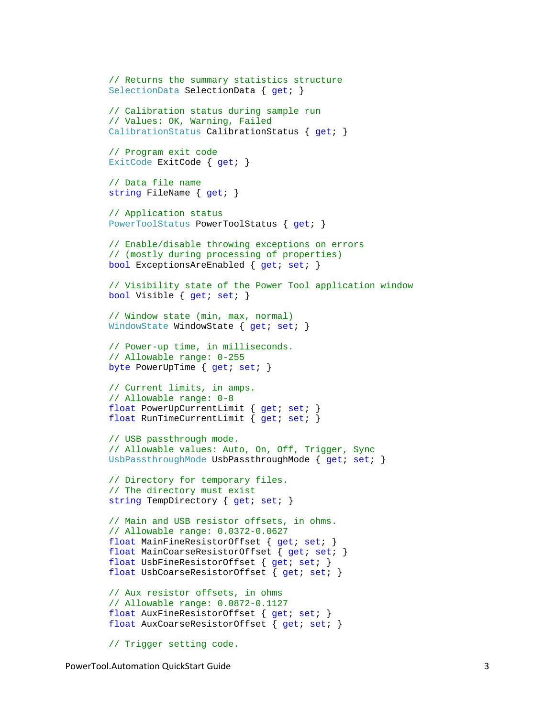```
 // Returns the summary statistics structure 
 SelectionData SelectionData { get; } 
 // Calibration status during sample run 
 // Values: OK, Warning, Failed 
CalibrationStatus CalibrationStatus { get; }
 // Program exit code 
ExitCode ExitCode { get; }
 // Data file name 
 string FileName { get; } 
 // Application status 
 PowerToolStatus PowerToolStatus { get; } 
 // Enable/disable throwing exceptions on errors 
 // (mostly during processing of properties) 
 bool ExceptionsAreEnabled { get; set; } 
 // Visibility state of the Power Tool application window 
bool Visible { get; set; }
 // Window state (min, max, normal) 
WindowState WindowState { get; set; }
 // Power-up time, in milliseconds. 
 // Allowable range: 0-255 
byte PowerUpTime { get; set; }
 // Current limits, in amps. 
 // Allowable range: 0-8 
float PowerUpCurrentLimit { get; set; }
float RunTimeCurrentLimit { get; set; }
 // USB passthrough mode. 
 // Allowable values: Auto, On, Off, Trigger, Sync 
UsbPassthroughMode UsbPassthroughMode { get; set; }
 // Directory for temporary files. 
 // The directory must exist 
string TempDirectory { get; set; }
 // Main and USB resistor offsets, in ohms. 
 // Allowable range: 0.0372-0.0627 
float MainFineResistorOffset { get; set; }
float MainCoarseResistorOffset { get; set; }
float UsbFineResistorOffset { get; set; }
float UsbCoarseResistorOffset { get; set; }
 // Aux resistor offsets, in ohms 
 // Allowable range: 0.0872-0.1127 
 float AuxFineResistorOffset { get; set; } 
float AuxCoarseResistorOffset { qet; set; }
```

```
 // Trigger setting code.
```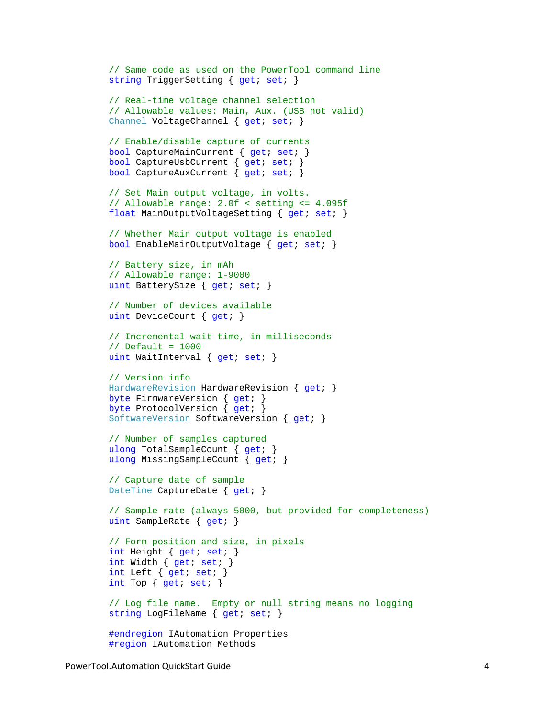```
 // Same code as used on the PowerTool command line 
string TriggerSetting { get; set; }
 // Real-time voltage channel selection 
 // Allowable values: Main, Aux. (USB not valid) 
Channel VoltageChannel { get; set; }
 // Enable/disable capture of currents 
bool CaptureMainCurrent { get; set; }
 bool CaptureUsbCurrent { get; set; } 
 bool CaptureAuxCurrent { get; set; } 
 // Set Main output voltage, in volts. 
 // Allowable range: 2.0f < setting <= 4.095f 
 float MainOutputVoltageSetting { get; set; } 
 // Whether Main output voltage is enabled 
 bool EnableMainOutputVoltage { get; set; } 
 // Battery size, in mAh 
 // Allowable range: 1-9000 
uint BatterySize { get; set; }
 // Number of devices available 
uint DeviceCount { get; }
 // Incremental wait time, in milliseconds 
// Default = 1000
uint WaitInterval { get; set; }
 // Version info 
HardwareRevision HardwareRevision { get; }
 byte FirmwareVersion { get; } 
byte ProtocolVersion { get; }
 SoftwareVersion SoftwareVersion { get; } 
 // Number of samples captured 
 ulong TotalSampleCount { get; } 
 ulong MissingSampleCount { get; } 
 // Capture date of sample 
DateTime CaptureDate { get; }
 // Sample rate (always 5000, but provided for completeness) 
 uint SampleRate { get; } 
 // Form position and size, in pixels 
 int Height { get; set; } 
 int Width { get; set; } 
 int Left { get; set; } 
int Top { get; set; }
 // Log file name. Empty or null string means no logging 
string LogFileName { get; set; }
 #endregion IAutomation Properties 
 #region IAutomation Methods
```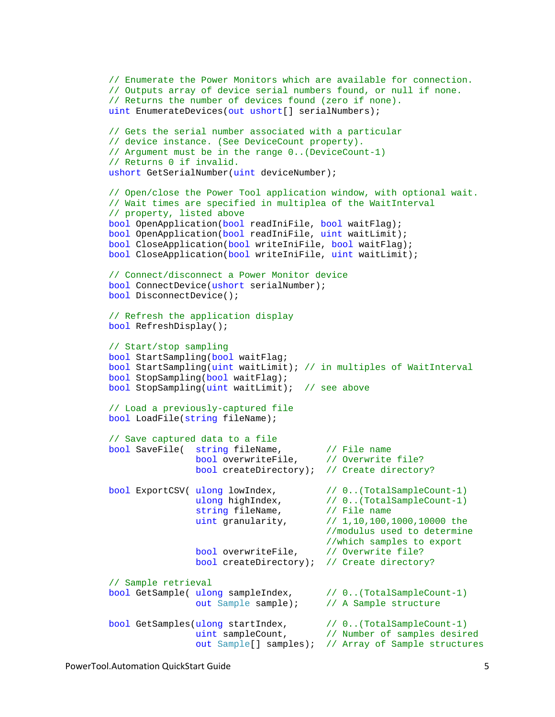```
 // Enumerate the Power Monitors which are available for connection. 
         // Outputs array of device serial numbers found, or null if none. 
         // Returns the number of devices found (zero if none). 
       uint EnumerateDevices(out ushort[] serialNumbers);
        // Gets the serial number associated with a particular 
        // device instance. (See DeviceCount property). 
        // Argument must be in the range 0..(DeviceCount-1) 
         // Returns 0 if invalid. 
       ushort GetSerialNumber(uint deviceNumber);
         // Open/close the Power Tool application window, with optional wait. 
        // Wait times are specified in multiplea of the WaitInterval 
         // property, listed above 
        bool OpenApplication(bool readIniFile, bool waitFlag); 
        bool OpenApplication(bool readIniFile, uint waitLimit); 
        bool CloseApplication(bool writeIniFile, bool waitFlag); 
        bool CloseApplication(bool writeIniFile, uint waitLimit); 
         // Connect/disconnect a Power Monitor device 
        bool ConnectDevice(ushort serialNumber); 
        bool DisconnectDevice(); 
        // Refresh the application display 
        bool RefreshDisplay(); 
        // Start/stop sampling 
        bool StartSampling(bool waitFlag; 
        bool StartSampling(uint waitLimit); // in multiples of WaitInterval 
        bool StopSampling(bool waitFlag); 
        bool StopSampling(uint waitLimit); // see above 
        // Load a previously-captured file 
        bool LoadFile(string fileName); 
         // Save captured data to a file 
       bool SaveFile( string fileName, \frac{1}{2} // File name
                        bool overwriteFile, \frac{1}{2} // Overwrite file?
                         bool createDirectory); // Create directory? 
        bool ExportCSV( ulong lowIndex, // 0..(TotalSampleCount-1) 
                        ulong highIndex, \frac{1}{10} ...(TotalSampleCount-1)
                        string fileName, \frac{1}{\sqrt{2}} File name
                        uint granularity, \frac{1}{1}, 10, 100, 1000, 10000 the
                                                //modulus used to determine 
                                                //which samples to export
                        bool overwriteFile, \frac{1}{2} Overwrite file?
                         bool createDirectory); // Create directory? 
         // Sample retrieval 
        bool GetSample( ulong sampleIndex, // 0..(TotalSampleCount-1) 
                         out Sample sample); // A Sample structure 
 bool GetSamples(ulong startIndex, // 0..(TotalSampleCount-1) 
 uint sampleCount, // Number of samples desired 
                        out Sample[] samples); // Array of Sample structures
```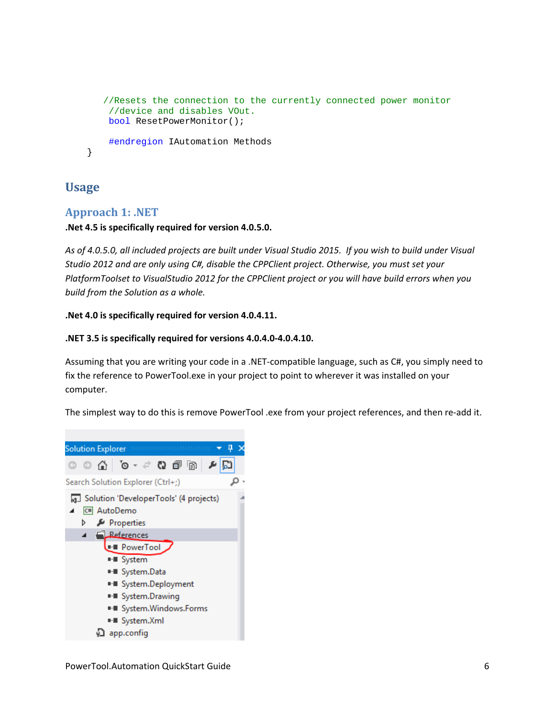```
//Resets the connection to the currently connected power monitor 
     //device and disables VOut. 
     bool ResetPowerMonitor();
     #endregion IAutomation Methods 
 }
```
## **Usage**

## **Approach 1: .NET**

## **.Net 4.5 is specifically required for version 4.0.5.0.**

As of 4.0.5.0, all included projects are built under Visual Studio 2015. If you wish to build under Visual *Studio 2012 and are only using C#, disable the CPPClient project. Otherwise, you must set your PlatformToolset to VisualStudio 2012 for the CPPClient project or you will have build errors when you build from the Solution as a whole.*

## **.Net 4.0 is specifically required for version 4.0.4.11.**

## **.NET 3.5 is specifically required for versions 4.0.4.0‐4.0.4.10.**

Assuming that you are writing your code in a .NET‐compatible language, such as C#, you simply need to fix the reference to PowerTool.exe in your project to point to wherever it was installed on your computer.

The simplest way to do this is remove PowerTool .exe from your project references, and then re-add it.

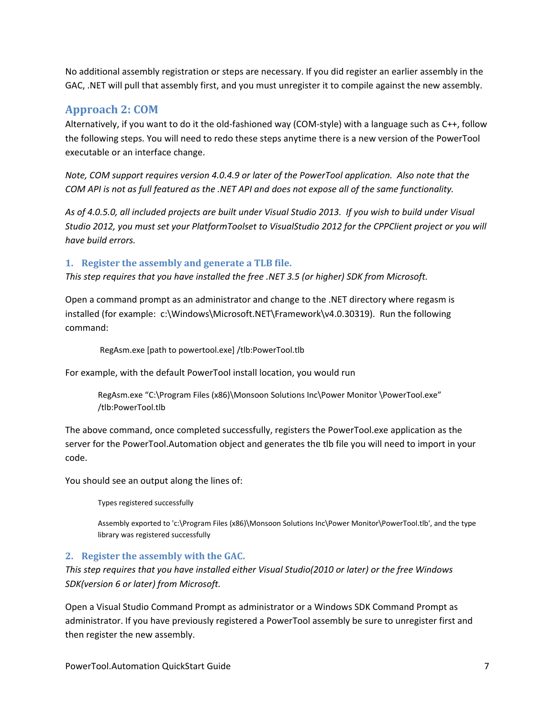No additional assembly registration or steps are necessary. If you did register an earlier assembly in the GAC, .NET will pull that assembly first, and you must unregister it to compile against the new assembly.

## **Approach 2: COM**

Alternatively, if you want to do it the old‐fashioned way (COM‐style) with a language such as C++, follow the following steps. You will need to redo these steps anytime there is a new version of the PowerTool executable or an interface change.

*Note, COM support requires version 4.0.4.9 or later of the PowerTool application. Also note that the* COM API is not as full featured as the .NET API and does not expose all of the same functionality.

As of 4.0.5.0, all included projects are built under Visual Studio 2013. If you wish to build under Visual *Studio 2012, you must set your PlatformToolset to VisualStudio 2012 for the CPPClient project or you will have build errors.*

## **1. Register the assembly and generate a TLB file.**

*This step requires that you have installed the free .NET 3.5 (or higher) SDK from Microsoft.* 

Open a command prompt as an administrator and change to the .NET directory where regasm is installed (for example: c:\Windows\Microsoft.NET\Framework\v4.0.30319). Run the following command:

RegAsm.exe [path to powertool.exe] /tlb:PowerTool.tlb

For example, with the default PowerTool install location, you would run

RegAsm.exe "C:\Program Files (x86)\Monsoon Solutions Inc\Power Monitor \PowerTool.exe" /tlb:PowerTool.tlb

The above command, once completed successfully, registers the PowerTool.exe application as the server for the PowerTool.Automation object and generates the tlb file you will need to import in your code.

You should see an output along the lines of:

Types registered successfully

Assembly exported to 'c:\Program Files (x86)\Monsoon Solutions Inc\Power Monitor\PowerTool.tlb', and the type library was registered successfully

#### **2. Register the assembly with the GAC.**

*This step requires that you have installed either Visual Studio(2010 or later) or the free Windows SDK(version 6 or later) from Microsoft.*

Open a Visual Studio Command Prompt as administrator or a Windows SDK Command Prompt as administrator. If you have previously registered a PowerTool assembly be sure to unregister first and then register the new assembly.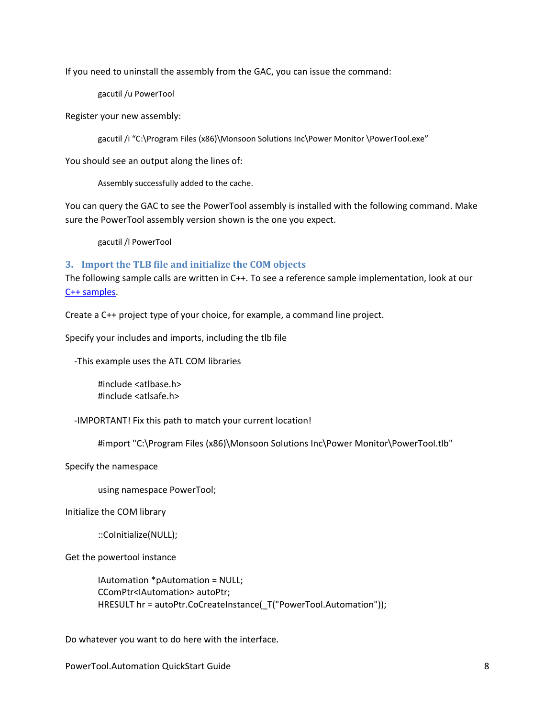If you need to uninstall the assembly from the GAC, you can issue the command:

gacutil /u PowerTool

Register your new assembly:

gacutil /i "C:\Program Files (x86)\Monsoon Solutions Inc\Power Monitor \PowerTool.exe"

You should see an output along the lines of:

Assembly successfully added to the cache.

You can query the GAC to see the PowerTool assembly is installed with the following command. Make sure the PowerTool assembly version shown is the one you expect.

gacutil /l PowerTool

#### **3. Import the TLB file and initialize the COM objects**

The following sample calls are written in C++. To see a reference sample implementation, look at our C++ samples.

Create a C++ project type of your choice, for example, a command line project.

Specify your includes and imports, including the tlb file

‐This example uses the ATL COM libraries

#include <atlbase.h> #include <atlsafe.h>

‐IMPORTANT! Fix this path to match your current location!

#import "C:\Program Files (x86)\Monsoon Solutions Inc\Power Monitor\PowerTool.tlb"

Specify the namespace

using namespace PowerTool;

Initialize the COM library

::CoInitialize(NULL);

Get the powertool instance

IAutomation \*pAutomation = NULL; CComPtr<IAutomation> autoPtr; HRESULT hr = autoPtr.CoCreateInstance(\_T("PowerTool.Automation"));

Do whatever you want to do here with the interface.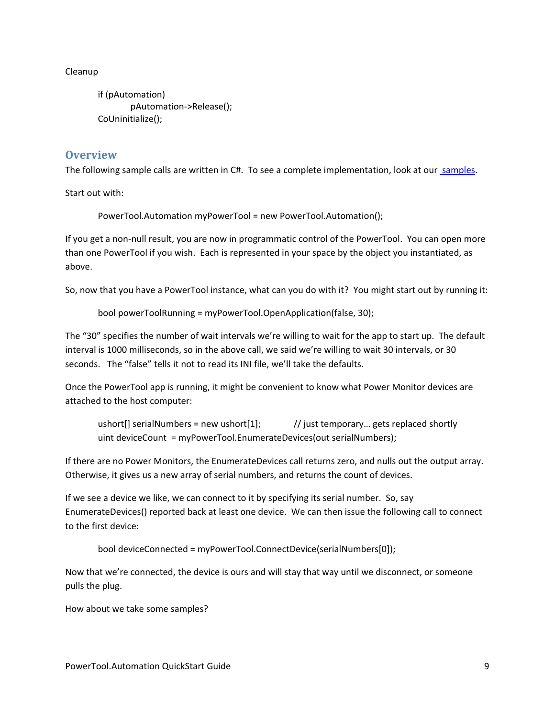Cleanup

if (pAutomation) pAutomation‐>Release(); CoUninitialize();

## **Overview**

The following sample calls are written in C#. To see a complete implementation, look at our samples.

Start out with:

PowerTool.Automation myPowerTool = new PowerTool.Automation();

If you get a non‐null result, you are now in programmatic control of the PowerTool. You can open more than one PowerTool if you wish. Each is represented in your space by the object you instantiated, as above.

So, now that you have a PowerTool instance, what can you do with it? You might start out by running it:

bool powerToolRunning = myPowerTool.OpenApplication(false, 30);

The "30" specifies the number of wait intervals we're willing to wait for the app to start up. The default interval is 1000 milliseconds, so in the above call, we said we're willing to wait 30 intervals, or 30 seconds. The "false" tells it not to read its INI file, we'll take the defaults.

Once the PowerTool app is running, it might be convenient to know what Power Monitor devices are attached to the host computer:

ushort[] serialNumbers = new ushort[1];  $\frac{1}{1}$  // just temporary... gets replaced shortly uint deviceCount = myPowerTool.EnumerateDevices(out serialNumbers);

If there are no Power Monitors, the EnumerateDevices call returns zero, and nulls out the output array. Otherwise, it gives us a new array of serial numbers, and returns the count of devices.

If we see a device we like, we can connect to it by specifying its serial number. So, say EnumerateDevices() reported back at least one device. We can then issue the following call to connect to the first device:

bool deviceConnected = myPowerTool.ConnectDevice(serialNumbers[0]);

Now that we're connected, the device is ours and will stay that way until we disconnect, or someone pulls the plug.

How about we take some samples?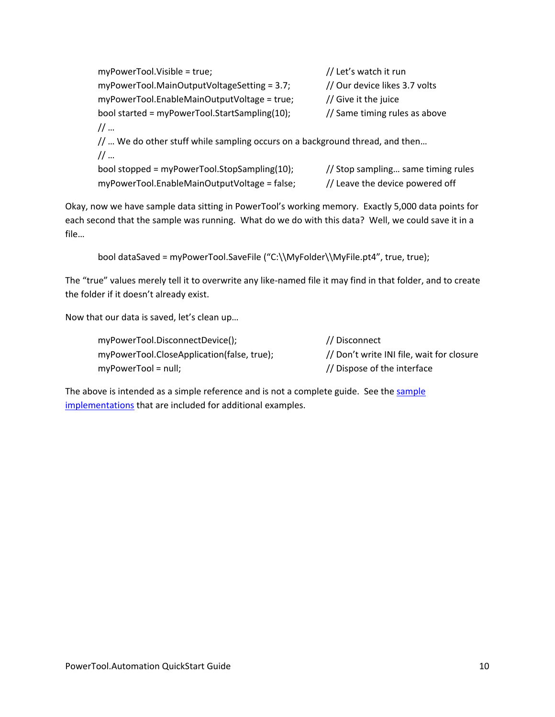myPowerTool.Visible = true;  $\frac{1}{100}$  Let's watch it run myPowerTool.MainOutputVoltageSetting = 3.7; // Our device likes 3.7 volts myPowerTool.EnableMainOutputVoltage = true;  $//$  Give it the juice bool started = myPowerTool.StartSampling(10); // Same timing rules as above // … // ... We do other stuff while sampling occurs on a background thread, and then... // … bool stopped = myPowerTool.StopSampling(10); // Stop sampling… same timing rules myPowerTool.EnableMainOutputVoltage = false; // Leave the device powered off

Okay, now we have sample data sitting in PowerTool's working memory. Exactly 5,000 data points for each second that the sample was running. What do we do with this data? Well, we could save it in a file…

bool dataSaved = myPowerTool.SaveFile ("C:\\MyFolder\\MyFile.pt4", true, true);

The "true" values merely tell it to overwrite any like‐named file it may find in that folder, and to create the folder if it doesn't already exist.

Now that our data is saved, let's clean up…

| myPowerTool.DisconnectDevice();            | // Disconnect                             |
|--------------------------------------------|-------------------------------------------|
| myPowerTool.CloseApplication(false, true); | // Don't write INI file, wait for closure |
| $myPowerTool = null;$                      | // Dispose of the interface               |

The above is intended as a simple reference and is not a complete guide. See the sample implementations that are included for additional examples.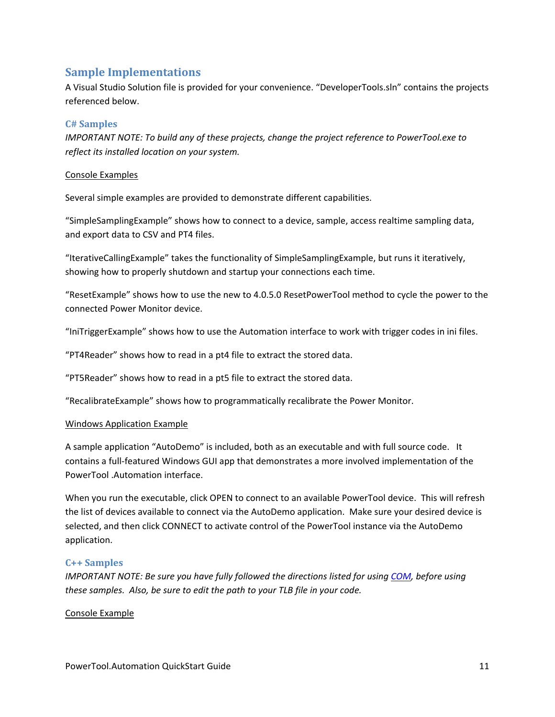## **Sample Implementations**

A Visual Studio Solution file is provided for your convenience. "DeveloperTools.sln" contains the projects referenced below.

## **C# Samples**

*IMPORTANT NOTE: To build any of these projects, change the project reference to PowerTool.exe to reflect its installed location on your system.*

#### Console Examples

Several simple examples are provided to demonstrate different capabilities.

"SimpleSamplingExample" shows how to connect to a device, sample, access realtime sampling data, and export data to CSV and PT4 files.

"IterativeCallingExample" takes the functionality of SimpleSamplingExample, but runs it iteratively, showing how to properly shutdown and startup your connections each time.

"ResetExample" shows how to use the new to 4.0.5.0 ResetPowerTool method to cycle the power to the connected Power Monitor device.

"IniTriggerExample" shows how to use the Automation interface to work with trigger codes in ini files.

"PT4Reader" shows how to read in a pt4 file to extract the stored data.

"PT5Reader" shows how to read in a pt5 file to extract the stored data.

"RecalibrateExample" shows how to programmatically recalibrate the Power Monitor.

#### Windows Application Example

A sample application "AutoDemo" is included, both as an executable and with full source code. It contains a full‐featured Windows GUI app that demonstrates a more involved implementation of the PowerTool .Automation interface.

When you run the executable, click OPEN to connect to an available PowerTool device. This will refresh the list of devices available to connect via the AutoDemo application. Make sure your desired device is selected, and then click CONNECT to activate control of the PowerTool instance via the AutoDemo application.

#### **C++ Samples**

*IMPORTANT NOTE: Be sure you have fully followed the directions listed for using COM, before using these samples. Also, be sure to edit the path to your TLB file in your code.*

Console Example